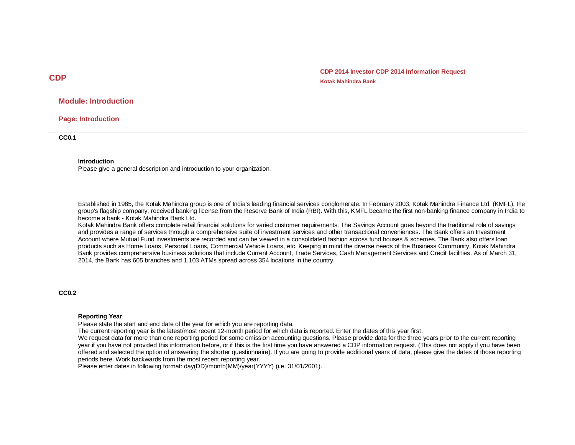**CDP 2014 Investor CDP 2014 Information Request Kotak Mahindra Bank**

## **Module: Introduction**

**Page: Introduction**

**CC0.1**

#### **Introduction**

Please give a general description and introduction to your organization.

Established in 1985, the Kotak Mahindra group is one of India's leading financial services conglomerate. In February 2003, Kotak Mahindra Finance Ltd. (KMFL), the group's flagship company, received banking license from the Reserve Bank of India (RBI). With this, KMFL became the first non-banking finance company in India to become a bank - Kotak Mahindra Bank Ltd.

Kotak Mahindra Bank offers complete retail financial solutions for varied customer requirements. The Savings Account goes beyond the traditional role of savings and provides a range of services through a comprehensive suite of investment services and other transactional conveniences. The Bank offers an Investment Account where Mutual Fund investments are recorded and can be viewed in a consolidated fashion across fund houses & schemes. The Bank also offers loan products such as Home Loans, Personal Loans, Commercial Vehicle Loans, etc. Keeping in mind the diverse needs of the Business Community, Kotak Mahindra Bank provides comprehensive business solutions that include Current Account, Trade Services, Cash Management Services and Credit facilities. As of March 31, 2014, the Bank has 605 branches and 1,103 ATMs spread across 354 locations in the country.

**CC0.2**

#### **Reporting Year**

Please state the start and end date of the year for which you are reporting data.

The current reporting year is the latest/most recent 12-month period for which data is reported. Enter the dates of this year first.

We request data for more than one reporting period for some emission accounting questions. Please provide data for the three years prior to the current reporting year if you have not provided this information before, or if this is the first time you have answered a CDP information request. (This does not apply if you have been offered and selected the option of answering the shorter questionnaire). If you are going to provide additional years of data, please give the dates of those reporting periods here. Work backwards from the most recent reporting year.

Please enter dates in following format: day(DD)/month(MM)/year(YYYY) (i.e. 31/01/2001).

**CDP**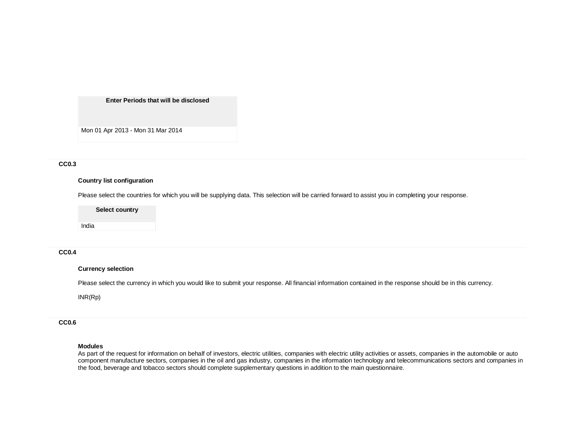**Enter Periods that will be disclosed**

Mon 01 Apr 2013 - Mon 31 Mar 2014

#### **CC0.3**

#### **Country list configuration**

Please select the countries for which you will be supplying data. This selection will be carried forward to assist you in completing your response.

**Select country**

India

## **CC0.4**

#### **Currency selection**

Please select the currency in which you would like to submit your response. All financial information contained in the response should be in this currency.

INR(Rp)

## **CC0.6**

#### **Modules**

As part of the request for information on behalf of investors, electric utilities, companies with electric utility activities or assets, companies in the automobile or auto component manufacture sectors, companies in the oil and gas industry, companies in the information technology and telecommunications sectors and companies in the food, beverage and tobacco sectors should complete supplementary questions in addition to the main questionnaire.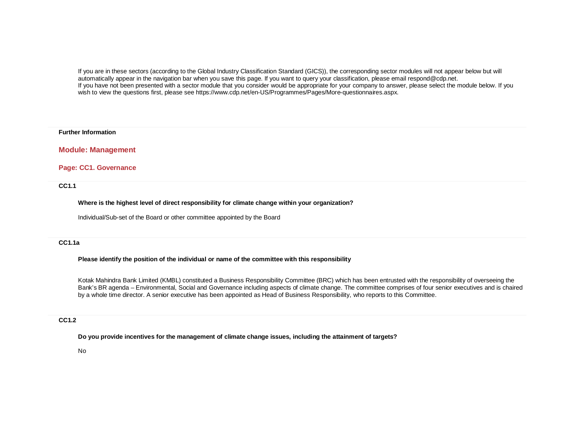If you are in these sectors (according to the Global Industry Classification Standard (GICS)), the corresponding sector modules will not appear below but will automatically appear in the navigation bar when you save this page. If you want to query your classification, please email respond@cdp.net. If you have not been presented with a sector module that you consider would be appropriate for your company to answer, please select the module below. If you wish to view the questions first, please see https://www.cdp.net/en-US/Programmes/Pages/More-questionnaires.aspx.

#### **Further Information**

## **Module: Management**

## **Page: CC1. Governance**

**CC1.1**

**Where is the highest level of direct responsibility for climate change within your organization?**

Individual/Sub-set of the Board or other committee appointed by the Board

## **CC1.1a**

### **Please identify the position of the individual or name of the committee with this responsibility**

Kotak Mahindra Bank Limited (KMBL) constituted a Business Responsibility Committee (BRC) which has been entrusted with the responsibility of overseeing the Bank's BR agenda – Environmental, Social and Governance including aspects of climate change. The committee comprises of four senior executives and is chaired by a whole time director. A senior executive has been appointed as Head of Business Responsibility, who reports to this Committee.

## **CC1.2**

**Do you provide incentives for the management of climate change issues, including the attainment of targets?**

No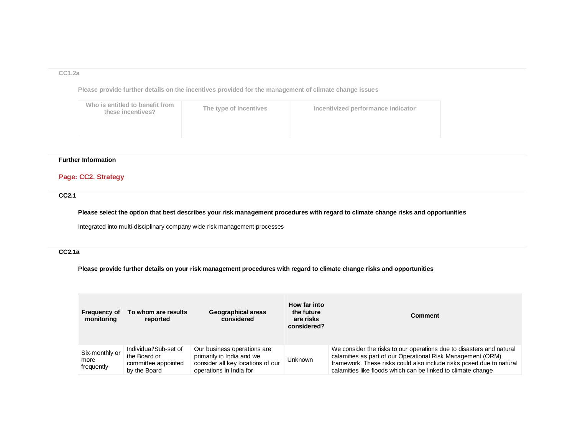### **CC1.2a**

**Please provide further details on the incentives provided for the management of climate change issues**

| Who is entitled to benefit from<br>these incentives? | The type of incentives | Incentivized performance indicator |
|------------------------------------------------------|------------------------|------------------------------------|
|                                                      |                        |                                    |

# **Further Information**

# **Page: CC2. Strategy**

**CC2.1**

**Please select the option that best describes your risk management procedures with regard to climate change risks and opportunities**

Integrated into multi-disciplinary company wide risk management processes

# **CC2.1a**

**Please provide further details on your risk management procedures with regard to climate change risks and opportunities**

| <b>Frequency of</b><br>monitoring    | To whom are results<br>reported                                              | Geographical areas<br>considered                                                                                         | How far into<br>the future<br>are risks<br>considered? | Comment                                                                                                                                                                                                                                                                     |
|--------------------------------------|------------------------------------------------------------------------------|--------------------------------------------------------------------------------------------------------------------------|--------------------------------------------------------|-----------------------------------------------------------------------------------------------------------------------------------------------------------------------------------------------------------------------------------------------------------------------------|
| Six-monthly or<br>more<br>frequently | Individual/Sub-set of<br>the Board or<br>committee appointed<br>by the Board | Our business operations are<br>primarily in India and we<br>consider all key locations of our<br>operations in India for | <b>Unknown</b>                                         | We consider the risks to our operations due to disasters and natural<br>calamities as part of our Operational Risk Management (ORM)<br>framework. These risks could also include risks posed due to natural<br>calamities like floods which can be linked to climate change |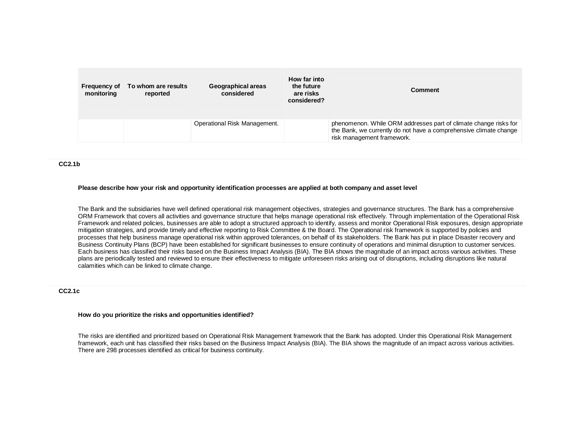| <b>Frequency of</b><br>monitoring | To whom are results<br>reported | Geographical areas<br>considered | How far into<br>the future<br>are risks<br>considered? | Comment                                                                                                                                                             |
|-----------------------------------|---------------------------------|----------------------------------|--------------------------------------------------------|---------------------------------------------------------------------------------------------------------------------------------------------------------------------|
|                                   |                                 | Operational Risk Management.     |                                                        | phenomenon. While ORM addresses part of climate change risks for<br>the Bank, we currently do not have a comprehensive climate change<br>risk management framework. |

#### **CC2.1b**

#### **Please describe how your risk and opportunity identification processes are applied at both company and asset level**

The Bank and the subsidiaries have well defined operational risk management objectives, strategies and governance structures. The Bank has a comprehensive ORM Framework that covers all activities and governance structure that helps manage operational risk effectively. Through implementation of the Operational Risk Framework and related policies, businesses are able to adopt a structured approach to identify, assess and monitor Operational Risk exposures, design appropriate mitigation strategies, and provide timely and effective reporting to Risk Committee & the Board. The Operational risk framework is supported by policies and processes that help business manage operational risk within approved tolerances, on behalf of its stakeholders. The Bank has put in place Disaster recovery and Business Continuity Plans (BCP) have been established for significant businesses to ensure continuity of operations and minimal disruption to customer services. Each business has classified their risks based on the Business Impact Analysis (BIA). The BIA shows the magnitude of an impact across various activities. These plans are periodically tested and reviewed to ensure their effectiveness to mitigate unforeseen risks arising out of disruptions, including disruptions like natural calamities which can be linked to climate change.

#### **CC2.1c**

#### **How do you prioritize the risks and opportunities identified?**

The risks are identified and prioritized based on Operational Risk Management framework that the Bank has adopted. Under this Operational Risk Management framework, each unit has classified their risks based on the Business Impact Analysis (BIA). The BIA shows the magnitude of an impact across various activities. There are 298 processes identified as critical for business continuity.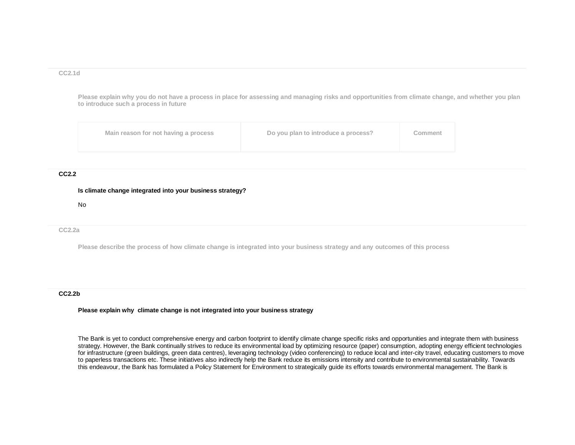#### **CC2.1d**

**Please explain why you do not have a process in place for assessing and managing risks and opportunities from climate change, and whether you plan to introduce such a process in future**

| Main reason for not having a process | Do you plan to introduce a process? | Comment |
|--------------------------------------|-------------------------------------|---------|
|--------------------------------------|-------------------------------------|---------|

## **CC2.2**

#### **Is climate change integrated into your business strategy?**

No

### **CC2.2a**

**Please describe the process of how climate change is integrated into your business strategy and any outcomes of this process**

#### **CC2.2b**

#### **Please explain why climate change is not integrated into your business strategy**

The Bank is yet to conduct comprehensive energy and carbon footprint to identify climate change specific risks and opportunities and integrate them with business strategy. However, the Bank continually strives to reduce its environmental load by optimizing resource (paper) consumption, adopting energy efficient technologies for infrastructure (green buildings, green data centres), leveraging technology (video conferencing) to reduce local and inter-city travel, educating customers to move to paperless transactions etc. These initiatives also indirectly help the Bank reduce its emissions intensity and contribute to environmental sustainability. Towards this endeavour, the Bank has formulated a Policy Statement for Environment to strategically guide its efforts towards environmental management. The Bank is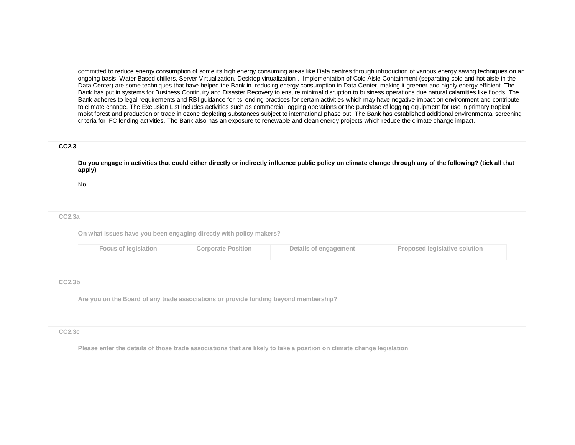committed to reduce energy consumption of some its high energy consuming areas like Data centres through introduction of various energy saving techniques on an ongoing basis. Water Based chillers, Server Virtualization, Desktop virtualization , Implementation of Cold Aisle Containment (separating cold and hot aisle in the Data Center) are some techniques that have helped the Bank in reducing energy consumption in Data Center, making it greener and highly energy efficient. The Bank has put in systems for Business Continuity and Disaster Recovery to ensure minimal disruption to business operations due natural calamities like floods. The Bank adheres to legal requirements and RBI guidance for its lending practices for certain activities which may have negative impact on environment and contribute to climate change. The Exclusion List includes activities such as commercial logging operations or the purchase of logging equipment for use in primary tropical moist forest and production or trade in ozone depleting substances subject to international phase out. The Bank has established additional environmental screening criteria for IFC lending activities. The Bank also has an exposure to renewable and clean energy projects which reduce the climate change impact.

### **CC2.3**

**Do you engage in activities that could either directly or indirectly influence public policy on climate change through any of the following? (tick all that apply)**

No

#### **CC2.3a**

**On what issues have you been engaging directly with policy makers?**

| Focus of legislation<br><b>Corporate Position</b><br>Details of engagement | <b>Proposed legislative solution</b> |
|----------------------------------------------------------------------------|--------------------------------------|
|----------------------------------------------------------------------------|--------------------------------------|

#### **CC2.3b**

**Are you on the Board of any trade associations or provide funding beyond membership?**

#### **CC2.3c**

**Please enter the details of those trade associations that are likely to take a position on climate change legislation**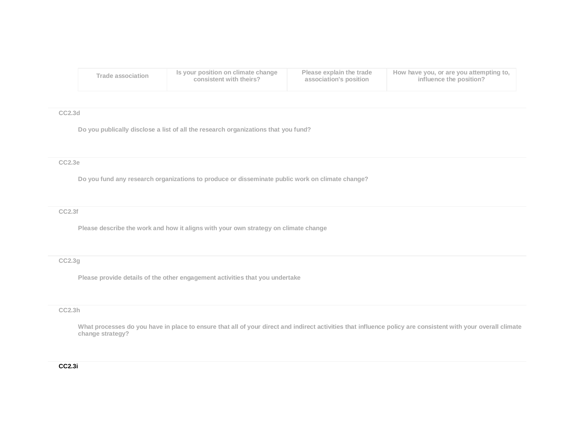| Trade association | Is your position on climate change | Please explain the trade | How have you, or are you attempting to, |
|-------------------|------------------------------------|--------------------------|-----------------------------------------|
|                   | consistent with theirs?            | association's position   | influence the position?                 |

## **CC2.3d**

**Do you publically disclose a list of all the research organizations that you fund?**

### **CC2.3e**

**Do you fund any research organizations to produce or disseminate public work on climate change?**

#### **CC2.3f**

**Please describe the work and how it aligns with your own strategy on climate change**

# **CC2.3g**

**Please provide details of the other engagement activities that you undertake**

#### **CC2.3h**

**What processes do you have in place to ensure that all of your direct and indirect activities that influence policy are consistent with your overall climate change strategy?**

## **CC2.3i**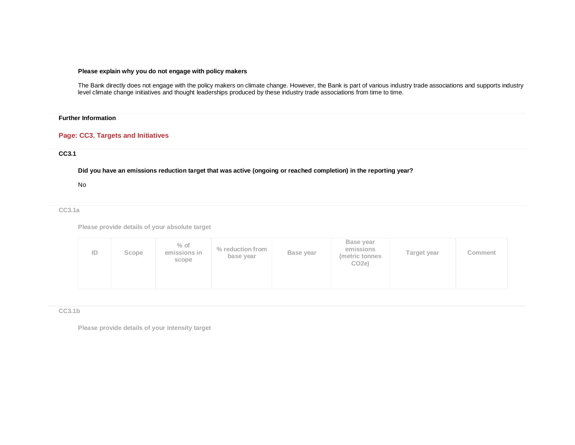## **Please explain why you do not engage with policy makers**

The Bank directly does not engage with the policy makers on climate change. However, the Bank is part of various industry trade associations and supports industry level climate change initiatives and thought leaderships produced by these industry trade associations from time to time.

## **Further Information**

## **Page: CC3. Targets and Initiatives**

### **CC3.1**

**Did you have an emissions reduction target that was active (ongoing or reached completion) in the reporting year?**

#### No

**CC3.1a**

**Please provide details of your absolute target**

| ID | Scope | $%$ of<br>emissions in<br>scope | % reduction from<br>base year | Base year | Base year<br>emissions<br>(metric tonnes<br>CO <sub>2</sub> e) | Target year | Comment |
|----|-------|---------------------------------|-------------------------------|-----------|----------------------------------------------------------------|-------------|---------|
|----|-------|---------------------------------|-------------------------------|-----------|----------------------------------------------------------------|-------------|---------|

#### **CC3.1b**

**Please provide details of your intensity target**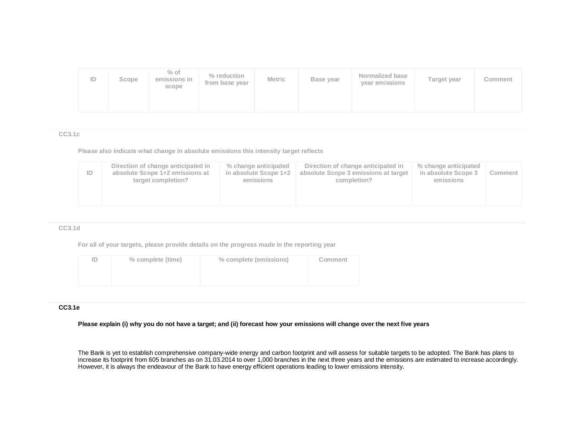| ID | Scope | $%$ of<br>emissions in<br>scope | % reduction<br>from base year | <b>Metric</b> | Base year | Normalized base<br>year emissions | Target year | Comment |
|----|-------|---------------------------------|-------------------------------|---------------|-----------|-----------------------------------|-------------|---------|
|    |       |                                 |                               |               |           |                                   |             |         |

#### **CC3.1c**

**Please also indicate what change in absolute emissions this intensity target reflects**

| Direction of change anticipated in<br>% change anticipated<br>Direction of change anticipated in<br>% change anticipated<br>ID<br>absolute Scope 1+2 emissions at<br>in absolute Scope 1+2<br>absolute Scope 3 emissions at target<br>in absolute Scope 3<br>target completion?<br>completion?<br>emissions<br>emissions | Comment |
|--------------------------------------------------------------------------------------------------------------------------------------------------------------------------------------------------------------------------------------------------------------------------------------------------------------------------|---------|
|--------------------------------------------------------------------------------------------------------------------------------------------------------------------------------------------------------------------------------------------------------------------------------------------------------------------------|---------|

### **CC3.1d**

**For all of your targets, please provide details on the progress made in the reporting year**

| ïD. | % complete (time) | % complete (emissions) | Comment |
|-----|-------------------|------------------------|---------|
|     |                   |                        |         |
|     |                   |                        |         |

# **CC3.1e**

**Please explain (i) why you do not have a target; and (ii) forecast how your emissions will change over the next five years**

The Bank is yet to establish comprehensive company-wide energy and carbon footprint and will assess for suitable targets to be adopted. The Bank has plans to increase its footprint from 605 branches as on 31.03.2014 to over 1,000 branches in the next three years and the emissions are estimated to increase accordingly. However, it is always the endeavour of the Bank to have energy efficient operations leading to lower emissions intensity.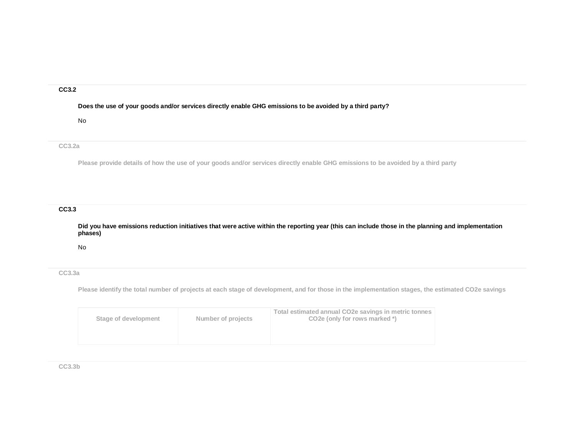#### **CC3.2**

**Does the use of your goods and/or services directly enable GHG emissions to be avoided by a third party?**

#### No

## **CC3.2a**

**Please provide details of how the use of your goods and/or services directly enable GHG emissions to be avoided by a third party**

# **CC3.3**

**Did you have emissions reduction initiatives that were active within the reporting year (this can include those in the planning and implementation phases)**

No

## **CC3.3a**

**Please identify the total number of projects at each stage of development, and for those in the implementation stages, the estimated CO2e savings**

| Number of projects   | Total estimated annual CO2e savings in metric tonnes |
|----------------------|------------------------------------------------------|
| Stage of development | CO <sub>2</sub> e (only for rows marked *)           |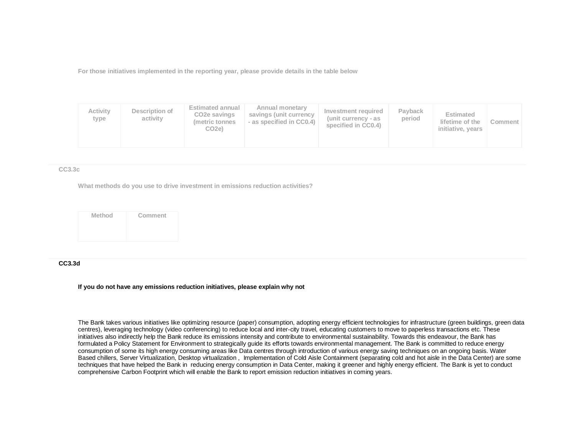**For those initiatives implemented in the reporting year, please provide details in the table below**

| Activity<br>type | Description of<br>activity | <b>Estimated annual</b><br>CO <sub>2</sub> e savings<br>(metric tonnes)<br>CO2e) | Annual monetary<br>savings (unit currency<br>- as specified in CC0.4) | Investment required<br>(unit currency - as<br>specified in CC0.4) | Payback<br>period | <b>Estimated</b><br>lifetime of the<br>initiative, years | Comment |  |
|------------------|----------------------------|----------------------------------------------------------------------------------|-----------------------------------------------------------------------|-------------------------------------------------------------------|-------------------|----------------------------------------------------------|---------|--|
|------------------|----------------------------|----------------------------------------------------------------------------------|-----------------------------------------------------------------------|-------------------------------------------------------------------|-------------------|----------------------------------------------------------|---------|--|

#### **CC3.3c**

**What methods do you use to drive investment in emissions reduction activities?**

**Method Comment**

## **CC3.3d**

**If you do not have any emissions reduction initiatives, please explain why not**

The Bank takes various initiatives like optimizing resource (paper) consumption, adopting energy efficient technologies for infrastructure (green buildings, green data centres), leveraging technology (video conferencing) to reduce local and inter-city travel, educating customers to move to paperless transactions etc. These initiatives also indirectly help the Bank reduce its emissions intensity and contribute to environmental sustainability. Towards this endeavour, the Bank has formulated a Policy Statement for Environment to strategically guide its efforts towards environmental management. The Bank is committed to reduce energy consumption of some its high energy consuming areas like Data centres through introduction of various energy saving techniques on an ongoing basis. Water Based chillers, Server Virtualization, Desktop virtualization , Implementation of Cold Aisle Containment (separating cold and hot aisle in the Data Center) are some techniques that have helped the Bank in reducing energy consumption in Data Center, making it greener and highly energy efficient. The Bank is yet to conduct comprehensive Carbon Footprint which will enable the Bank to report emission reduction initiatives in coming years.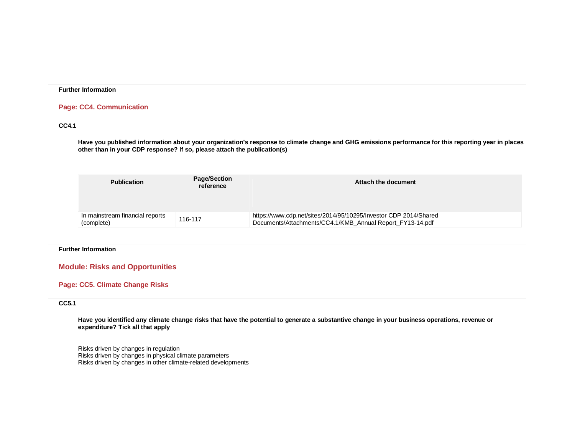#### **Further Information**

## **Page: CC4. Communication**

## **CC4.1**

**Have you published information about your organization's response to climate change and GHG emissions performance for this reporting year in places other than in your CDP response? If so, please attach the publication(s)**

| <b>Publication</b>                            | <b>Page/Section</b><br>reference | Attach the document                                                                                                           |
|-----------------------------------------------|----------------------------------|-------------------------------------------------------------------------------------------------------------------------------|
| In mainstream financial reports<br>(complete) | 116-117                          | https://www.cdp.net/sites/2014/95/10295/Investor CDP 2014/Shared<br>Documents/Attachments/CC4.1/KMB Annual Report FY13-14.pdf |

#### **Further Information**

# **Module: Risks and Opportunities**

# **Page: CC5. Climate Change Risks**

## **CC5.1**

**Have you identified any climate change risks that have the potential to generate a substantive change in your business operations, revenue or expenditure? Tick all that apply**

Risks driven by changes in regulation Risks driven by changes in physical climate parameters Risks driven by changes in other climate-related developments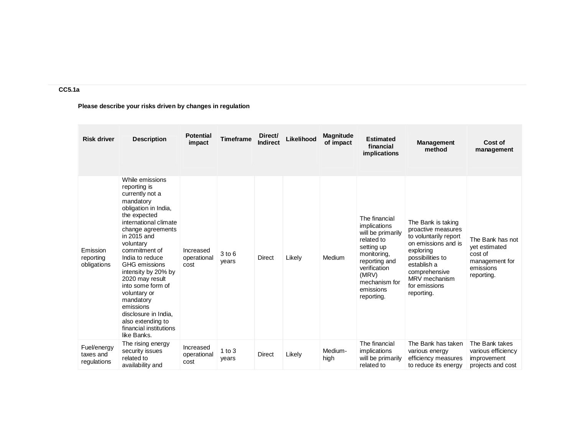# **CC5.1a**

**Please describe your risks driven by changes in regulation**

| <b>Risk driver</b>                      | <b>Description</b>                                                                                                                                                                                                                                                                                                                                                                                                                    | <b>Potential</b><br>impact       | <b>Timeframe</b>    | Direct/<br><b>Indirect</b> | Likelihood | <b>Magnitude</b><br>of impact | <b>Estimated</b><br>financial<br>implications                                                                                                                                       | <b>Management</b><br>method                                                                                                                                                                               | Cost of<br>management                                                                     |
|-----------------------------------------|---------------------------------------------------------------------------------------------------------------------------------------------------------------------------------------------------------------------------------------------------------------------------------------------------------------------------------------------------------------------------------------------------------------------------------------|----------------------------------|---------------------|----------------------------|------------|-------------------------------|-------------------------------------------------------------------------------------------------------------------------------------------------------------------------------------|-----------------------------------------------------------------------------------------------------------------------------------------------------------------------------------------------------------|-------------------------------------------------------------------------------------------|
| Emission<br>reporting<br>obligations    | While emissions<br>reporting is<br>currently not a<br>mandatory<br>obligation in India,<br>the expected<br>international climate<br>change agreements<br>in 2015 and<br>voluntary<br>commitment of<br>India to reduce<br>GHG emissions<br>intensity by 20% by<br>2020 may result<br>into some form of<br>voluntary or<br>mandatory<br>emissions<br>disclosure in India,<br>also extending to<br>financial institutions<br>like Banks. | Increased<br>operational<br>cost | $3$ to $6$<br>years | <b>Direct</b>              | Likely     | Medium                        | The financial<br>implications<br>will be primarily<br>related to<br>setting up<br>monitoring,<br>reporting and<br>verification<br>(MRV)<br>mechanism for<br>emissions<br>reporting. | The Bank is taking<br>proactive measures<br>to voluntarily report<br>on emissions and is<br>exploring<br>possibilities to<br>establish a<br>comprehensive<br>MRV mechanism<br>for emissions<br>reporting. | The Bank has not<br>vet estimated<br>cost of<br>management for<br>emissions<br>reporting. |
| Fuel/energy<br>taxes and<br>regulations | The rising energy<br>security issues<br>related to<br>availability and                                                                                                                                                                                                                                                                                                                                                                | Increased<br>operational<br>cost | 1 to $3$<br>years   | <b>Direct</b>              | Likely     | Medium-<br>high               | The financial<br>implications<br>will be primarily<br>related to                                                                                                                    | The Bank has taken<br>various energy<br>efficiency measures<br>to reduce its energy                                                                                                                       | The Bank takes<br>various efficiency<br>improvement<br>projects and cost                  |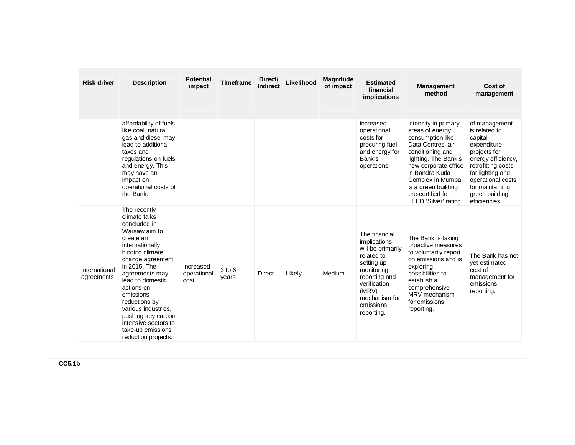| <b>Risk driver</b>          | <b>Description</b>                                                                                                                                                                                                                                                                                                                                       | <b>Potential</b><br>impact       | <b>Timeframe</b> | Direct/<br><b>Indirect</b> | Likelihood | <b>Magnitude</b><br>of impact | <b>Estimated</b><br>financial<br><i>implications</i>                                                                                                                                | <b>Management</b><br>method                                                                                                                                                                                                                                      | Cost of<br>management                                                                                                                                                                                               |
|-----------------------------|----------------------------------------------------------------------------------------------------------------------------------------------------------------------------------------------------------------------------------------------------------------------------------------------------------------------------------------------------------|----------------------------------|------------------|----------------------------|------------|-------------------------------|-------------------------------------------------------------------------------------------------------------------------------------------------------------------------------------|------------------------------------------------------------------------------------------------------------------------------------------------------------------------------------------------------------------------------------------------------------------|---------------------------------------------------------------------------------------------------------------------------------------------------------------------------------------------------------------------|
|                             | affordability of fuels<br>like coal, natural<br>gas and diesel may<br>lead to additional<br>taxes and<br>regulations on fuels<br>and energy. This<br>may have an<br>impact on<br>operational costs of<br>the Bank.                                                                                                                                       |                                  |                  |                            |            |                               | increased<br>operational<br>costs for<br>procuring fuel<br>and energy for<br>Bank's<br>operations                                                                                   | intensity in primary<br>areas of energy<br>consumption like<br>Data Centres, air<br>conditioning and<br>lighting. The Bank's<br>new corporate office<br>in Bandra Kurla<br>Complex in Mumbai<br>is a green building<br>pre-certified for<br>LEED 'Silver' rating | of management<br>is related to<br>capital<br>expenditure<br>projects for<br>energy efficiency,<br>retrofitting costs<br>for lighting and<br>operational costs<br>for maintaining<br>green building<br>efficiencies. |
| International<br>agreements | The recently<br>climate talks<br>concluded in<br>Warsaw aim to<br>create an<br>internationally<br>binding climate<br>change agreement<br>in 2015. The<br>agreements may<br>lead to domestic<br>actions on<br>emissions<br>reductions by<br>various industries.<br>pushing key carbon<br>intensive sectors to<br>take-up emissions<br>reduction projects. | Increased<br>operational<br>cost | 3 to 6<br>years  | Direct                     | Likely     | Medium                        | The financial<br>implications<br>will be primarily<br>related to<br>setting up<br>monitoring,<br>reporting and<br>verification<br>(MRV)<br>mechanism for<br>emissions<br>reporting. | The Bank is taking<br>proactive measures<br>to voluntarily report<br>on emissions and is<br>exploring<br>possibilities to<br>establish a<br>comprehensive<br>MRV mechanism<br>for emissions<br>reporting.                                                        | The Bank has not<br>vet estimated<br>cost of<br>management for<br>emissions<br>reporting.                                                                                                                           |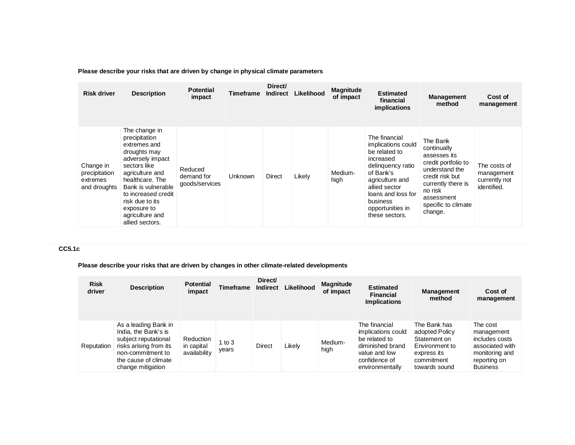|  |  |  | Please describe your risks that are driven by change in physical climate parameters |  |
|--|--|--|-------------------------------------------------------------------------------------|--|
|--|--|--|-------------------------------------------------------------------------------------|--|

| <b>Risk driver</b>                                     | <b>Description</b>                                                                                                                                                                                                                                            | <b>Potential</b><br>impact              | Timeframe      | Direct/<br><b>Indirect</b> | Likelihood | <b>Magnitude</b><br>of impact | <b>Estimated</b><br>financial<br>implications                                                                                                                                                                   | <b>Management</b><br>method                                                                                                                                                          | Cost of<br>management                                      |
|--------------------------------------------------------|---------------------------------------------------------------------------------------------------------------------------------------------------------------------------------------------------------------------------------------------------------------|-----------------------------------------|----------------|----------------------------|------------|-------------------------------|-----------------------------------------------------------------------------------------------------------------------------------------------------------------------------------------------------------------|--------------------------------------------------------------------------------------------------------------------------------------------------------------------------------------|------------------------------------------------------------|
| Change in<br>precipitation<br>extremes<br>and droughts | The change in<br>precipitation<br>extremes and<br>droughts may<br>adversely impact<br>sectors like<br>agriculture and<br>healthcare. The<br>Bank is vulnerable<br>to increased credit<br>risk due to its<br>exposure to<br>agriculture and<br>allied sectors. | Reduced<br>demand for<br>goods/services | <b>Unknown</b> | Direct                     | Likely     | Medium-<br>high               | The financial<br>implications could<br>be related to<br>increased<br>delinguency ratio<br>of Bank's<br>agriculture and<br>allied sector<br>loans and loss for<br>business<br>opportunities in<br>these sectors. | The Bank<br>continually<br>assesses its<br>credit portfolio to<br>understand the<br>credit risk but<br>currently there is<br>no risk<br>assessment<br>specific to climate<br>change. | The costs of<br>management<br>currently not<br>identified. |

# **CC5.1c**

**Please describe your risks that are driven by changes in other climate-related developments**

| <b>Risk</b><br>driver | <b>Description</b>                                                                                                                                               | <b>Potential</b><br>impact              | <b>Timeframe</b>  | Direct/<br>Indirect | Likelihood | <b>Magnitude</b><br>of impact | <b>Estimated</b><br><b>Financial</b><br><b>Implications</b>                                                                   | <b>Management</b><br>method                                                                                    | Cost of<br>management                                                                                            |
|-----------------------|------------------------------------------------------------------------------------------------------------------------------------------------------------------|-----------------------------------------|-------------------|---------------------|------------|-------------------------------|-------------------------------------------------------------------------------------------------------------------------------|----------------------------------------------------------------------------------------------------------------|------------------------------------------------------------------------------------------------------------------|
| Reputation            | As a leading Bank in<br>India, the Bank's is<br>subject reputational<br>risks arising from its<br>non-commitment to<br>the cause of climate<br>change mitigation | Reduction<br>in capital<br>availability | 1 to $3$<br>years | <b>Direct</b>       | Likely     | Medium-<br>high               | The financial<br>implications could<br>be related to<br>diminished brand<br>value and low<br>confidence of<br>environmentally | The Bank has<br>adopted Policy<br>Statement on<br>Environment to<br>express its<br>commitment<br>towards sound | The cost<br>management<br>includes costs<br>associated with<br>monitoring and<br>reporting on<br><b>Business</b> |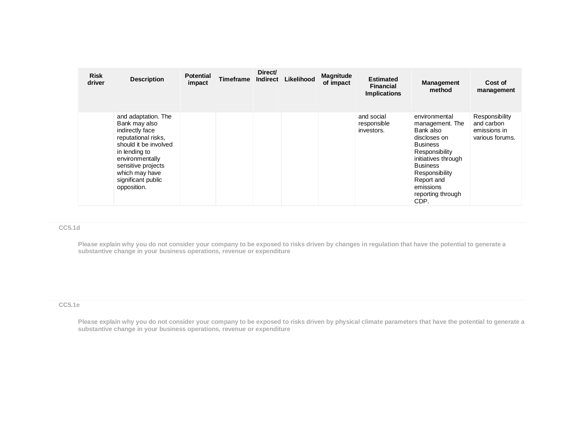| <b>Risk</b><br>driver | <b>Description</b>                                                                                                                                                                                                       | <b>Potential</b><br>impact | <b>Timeframe</b> | Direct/<br>Indirect | Likelihood | <b>Magnitude</b><br>of impact | <b>Estimated</b><br><b>Financial</b><br><b>Implications</b> | <b>Management</b><br>method                                                                                                                                                                                            | Cost of<br>management                                           |
|-----------------------|--------------------------------------------------------------------------------------------------------------------------------------------------------------------------------------------------------------------------|----------------------------|------------------|---------------------|------------|-------------------------------|-------------------------------------------------------------|------------------------------------------------------------------------------------------------------------------------------------------------------------------------------------------------------------------------|-----------------------------------------------------------------|
|                       | and adaptation. The<br>Bank may also<br>indirectly face<br>reputational risks,<br>should it be involved<br>in lending to<br>environmentally<br>sensitive projects<br>which may have<br>significant public<br>opposition. |                            |                  |                     |            |                               | and social<br>responsible<br>investors.                     | environmental<br>management. The<br>Bank also<br>discloses on<br><b>Business</b><br>Responsibility<br>initiatives through<br><b>Business</b><br>Responsibility<br>Report and<br>emissions<br>reporting through<br>CDP. | Responsibility<br>and carbon<br>emissions in<br>various forums. |

#### **CC5.1d**

**Please explain why you do not consider your company to be exposed to risks driven by changes in regulation that have the potential to generate a substantive change in your business operations, revenue or expenditure** 

## **CC5.1e**

**Please explain why you do not consider your company to be exposed to risks driven by physical climate parameters that have the potential to generate a substantive change in your business operations, revenue or expenditure**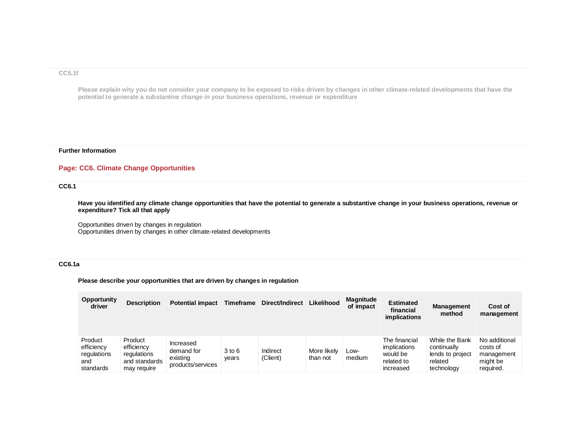#### **CC5.1f**

**Please explain why you do not consider your company to be exposed to risks driven by changes in other climate-related developments that have the potential to generate a substantive change in your business operations, revenue or expenditure**

#### **Further Information**

## **Page: CC6. Climate Change Opportunities**

# **CC6.1**

**Have you identified any climate change opportunities that have the potential to generate a substantive change in your business operations, revenue or expenditure? Tick all that apply**

Opportunities driven by changes in regulation Opportunities driven by changes in other climate-related developments

## **CC6.1a**

**Please describe your opportunities that are driven by changes in regulation**

| <b>Opportunity</b><br>driver                             | <b>Description</b>                                                   | <b>Potential impact</b>                                  | <b>Timeframe</b> | <b>Direct/Indirect</b> | Likelihood              | Magnitude<br>of impact | <b>Estimated</b><br>financial<br>implications                               | <b>Management</b><br>method                                                | Cost of<br>management                                            |
|----------------------------------------------------------|----------------------------------------------------------------------|----------------------------------------------------------|------------------|------------------------|-------------------------|------------------------|-----------------------------------------------------------------------------|----------------------------------------------------------------------------|------------------------------------------------------------------|
| Product<br>efficiency<br>regulations<br>and<br>standards | Product<br>efficiency<br>regulations<br>and standards<br>may require | Increased<br>demand for<br>existing<br>products/services | 3 to 6<br>vears  | Indirect<br>(Client)   | More likely<br>than not | Low-<br>medium         | The financial<br><i>implications</i><br>would be<br>related to<br>increased | While the Bank<br>continually<br>lends to project<br>related<br>technology | No additional<br>costs of<br>management<br>might be<br>required. |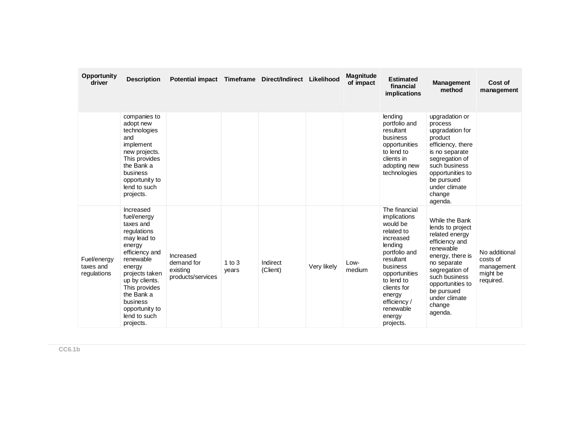| Opportunity<br>driver                   | <b>Description</b>                                                                                                                                                                                                                                   | Potential impact Timeframe Direct/Indirect Likelihood    |                     |                      |             | <b>Magnitude</b><br>of impact | <b>Estimated</b><br>financial<br><i>implications</i>                                                                                                                                                                                  | <b>Management</b><br>method                                                                                                                                                                                                       | Cost of<br>management                                            |
|-----------------------------------------|------------------------------------------------------------------------------------------------------------------------------------------------------------------------------------------------------------------------------------------------------|----------------------------------------------------------|---------------------|----------------------|-------------|-------------------------------|---------------------------------------------------------------------------------------------------------------------------------------------------------------------------------------------------------------------------------------|-----------------------------------------------------------------------------------------------------------------------------------------------------------------------------------------------------------------------------------|------------------------------------------------------------------|
|                                         | companies to<br>adopt new<br>technologies<br>and<br>implement<br>new projects.<br>This provides<br>the Bank a<br>business<br>opportunity to<br>lend to such<br>projects.                                                                             |                                                          |                     |                      |             |                               | lending<br>portfolio and<br>resultant<br>business<br>opportunities<br>to lend to<br>clients in<br>adopting new<br>technologies                                                                                                        | upgradation or<br>process<br>upgradation for<br>product<br>efficiency, there<br>is no separate<br>segregation of<br>such business<br>opportunities to<br>be pursued<br>under climate<br>change<br>agenda.                         |                                                                  |
| Fuel/energy<br>taxes and<br>regulations | Increased<br>fuel/energy<br>taxes and<br>regulations<br>may lead to<br>energy<br>efficiency and<br>renewable<br>energy<br>projects taken<br>up by clients.<br>This provides<br>the Bank a<br>business<br>opportunity to<br>lend to such<br>projects. | Increased<br>demand for<br>existing<br>products/services | $1$ to $3$<br>years | Indirect<br>(Client) | Very likely | Low-<br>medium                | The financial<br>implications<br>would be<br>related to<br>increased<br>lending<br>portfolio and<br>resultant<br>business<br>opportunities<br>to lend to<br>clients for<br>energy<br>efficiency /<br>renewable<br>energy<br>projects. | While the Bank<br>lends to project<br>related energy<br>efficiency and<br>renewable<br>energy, there is<br>no separate<br>segregation of<br>such business<br>opportunities to<br>be pursued<br>under climate<br>change<br>agenda. | No additional<br>costs of<br>management<br>might be<br>required. |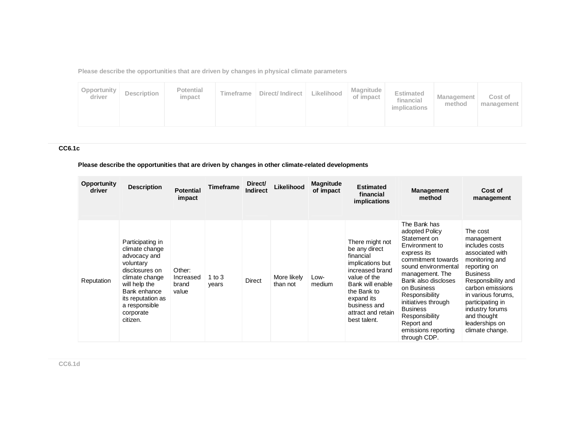**Please describe the opportunities that are driven by changes in physical climate parameters**

# **CC6.1c**

# **Please describe the opportunities that are driven by changes in other climate-related developments**

| <b>Opportunity</b><br>driver | <b>Description</b>                                                                                                                                                                                  | <b>Potential</b><br>impact            | Timeframe         | Direct/<br><b>Indirect</b> | Likelihood              | <b>Magnitude</b><br>of impact | <b>Estimated</b><br>financial<br>implications                                                                                                                                                               | <b>Management</b><br>method                                                                                                                                                                                                                                                                                              | Cost of<br>management                                                                                                                                                                                                                                                       |
|------------------------------|-----------------------------------------------------------------------------------------------------------------------------------------------------------------------------------------------------|---------------------------------------|-------------------|----------------------------|-------------------------|-------------------------------|-------------------------------------------------------------------------------------------------------------------------------------------------------------------------------------------------------------|--------------------------------------------------------------------------------------------------------------------------------------------------------------------------------------------------------------------------------------------------------------------------------------------------------------------------|-----------------------------------------------------------------------------------------------------------------------------------------------------------------------------------------------------------------------------------------------------------------------------|
| Reputation                   | Participating in<br>climate change<br>advocacy and<br>voluntary<br>disclosures on<br>climate change<br>will help the<br>Bank enhance<br>its reputation as<br>a responsible<br>corporate<br>citizen. | Other:<br>Increased<br>brand<br>value | 1 to $3$<br>years | <b>Direct</b>              | More likely<br>than not | Low-<br>medium                | There might not<br>be any direct<br>financial<br>implications but<br>increased brand<br>value of the<br>Bank will enable<br>the Bank to<br>expand its<br>business and<br>attract and retain<br>best talent. | The Bank has<br>adopted Policy<br>Statement on<br>Environment to<br>express its<br>commitment towards<br>sound environmental<br>management. The<br>Bank also discloses<br>on Business<br>Responsibility<br>initiatives through<br><b>Business</b><br>Responsibility<br>Report and<br>emissions reporting<br>through CDP. | The cost<br>management<br>includes costs<br>associated with<br>monitoring and<br>reporting on<br><b>Business</b><br>Responsibility and<br>carbon emissions<br>in various forums,<br>participating in<br>industry forums<br>and thought<br>leaderships on<br>climate change. |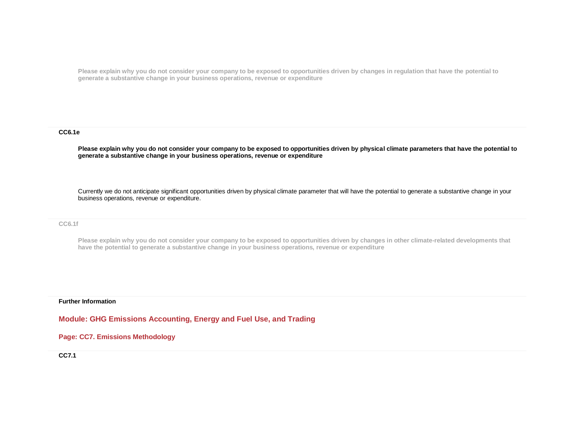**Please explain why you do not consider your company to be exposed to opportunities driven by changes in regulation that have the potential to generate a substantive change in your business operations, revenue or expenditure**

#### **CC6.1e**

**Please explain why you do not consider your company to be exposed to opportunities driven by physical climate parameters that have the potential to generate a substantive change in your business operations, revenue or expenditure**

Currently we do not anticipate significant opportunities driven by physical climate parameter that will have the potential to generate a substantive change in your business operations, revenue or expenditure.

## **CC6.1f**

**Please explain why you do not consider your company to be exposed to opportunities driven by changes in other climate-related developments that have the potential to generate a substantive change in your business operations, revenue or expenditure**

#### **Further Information**

**Module: GHG Emissions Accounting, Energy and Fuel Use, and Trading**

## **Page: CC7. Emissions Methodology**

**CC7.1**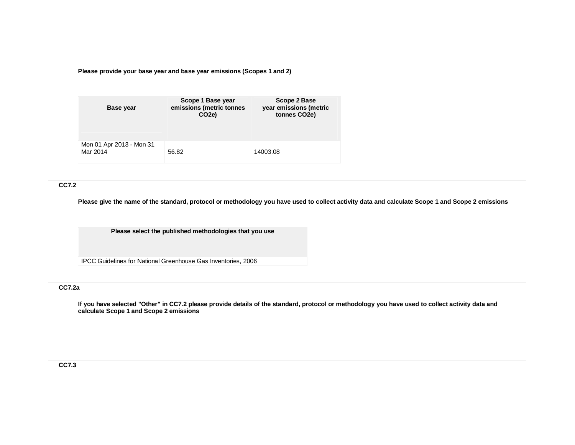**Please provide your base year and base year emissions (Scopes 1 and 2)**

| Base year                            | Scope 1 Base year<br>emissions (metric tonnes<br>CO <sub>2e</sub> ) | Scope 2 Base<br>year emissions (metric<br>tonnes CO2e) |
|--------------------------------------|---------------------------------------------------------------------|--------------------------------------------------------|
| Mon 01 Apr 2013 - Mon 31<br>Mar 2014 | 56.82                                                               | 14003.08                                               |

## **CC7.2**

**Please give the name of the standard, protocol or methodology you have used to collect activity data and calculate Scope 1 and Scope 2 emissions** 

**Please select the published methodologies that you use**

IPCC Guidelines for National Greenhouse Gas Inventories, 2006

# **CC7.2a**

**If you have selected "Other" in CC7.2 please provide details of the standard, protocol or methodology you have used to collect activity data and calculate Scope 1 and Scope 2 emissions**

# **CC7.3**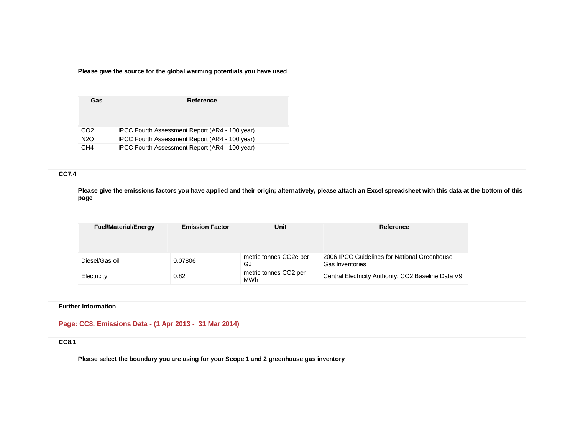**Please give the source for the global warming potentials you have used**

| Gas              | Reference                                      |
|------------------|------------------------------------------------|
| CO <sub>2</sub>  | IPCC Fourth Assessment Report (AR4 - 100 year) |
| N <sub>2</sub> O | IPCC Fourth Assessment Report (AR4 - 100 year) |
| CH <sub>4</sub>  | IPCC Fourth Assessment Report (AR4 - 100 year) |

# **CC7.4**

**Please give the emissions factors you have applied and their origin; alternatively, please attach an Excel spreadsheet with this data at the bottom of this page**

| <b>Fuel/Material/Energy</b> | <b>Emission Factor</b> | Unit                                      | Reference                                                       |
|-----------------------------|------------------------|-------------------------------------------|-----------------------------------------------------------------|
| Diesel/Gas oil              | 0.07806                | metric tonnes CO <sub>2</sub> e per<br>GJ | 2006 IPCC Guidelines for National Greenhouse<br>Gas Inventories |
| Electricity                 | 0.82                   | metric tonnes CO2 per<br>MWh              | Central Electricity Authority: CO2 Baseline Data V9             |

## **Further Information**

**Page: CC8. Emissions Data - (1 Apr 2013 - 31 Mar 2014)**

## **CC8.1**

**Please select the boundary you are using for your Scope 1 and 2 greenhouse gas inventory**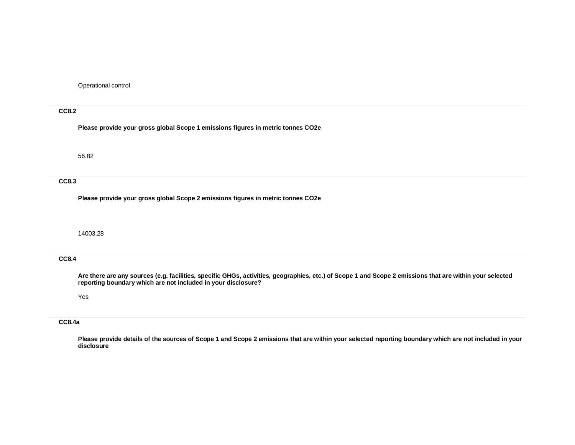Operational control

## **CC8.2**

**Please provide your gross global Scope 1 emissions figures in metric tonnes CO2e**

56.82

### **CC8.3**

**Please provide your gross global Scope 2 emissions figures in metric tonnes CO2e**

## 14003.28

#### **CC8.4**

**Are there are any sources (e.g. facilities, specific GHGs, activities, geographies, etc.) of Scope 1 and Scope 2 emissions that are within your selected reporting boundary which are not included in your disclosure?**

### Yes

### **CC8.4a**

**Please provide details of the sources of Scope 1 and Scope 2 emissions that are within your selected reporting boundary which are not included in your disclosure**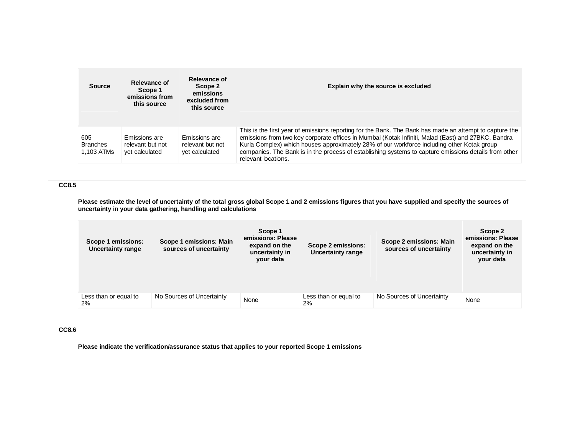| <b>Source</b>                        | Relevance of<br>Scope 1<br>emissions from<br>this source | Relevance of<br>Scope 2<br>emissions<br>excluded from<br>this source | Explain why the source is excluded                                                                                                                                                                                                                                                                                                                                                                                                          |
|--------------------------------------|----------------------------------------------------------|----------------------------------------------------------------------|---------------------------------------------------------------------------------------------------------------------------------------------------------------------------------------------------------------------------------------------------------------------------------------------------------------------------------------------------------------------------------------------------------------------------------------------|
| 605<br><b>Branches</b><br>1.103 ATMs | Emissions are<br>relevant but not<br>yet calculated      | Emissions are<br>relevant but not<br>yet calculated                  | This is the first year of emissions reporting for the Bank. The Bank has made an attempt to capture the<br>emissions from two key corporate offices in Mumbai (Kotak Infiniti, Malad (East) and 27BKC, Bandra<br>Kurla Complex) which houses approximately 28% of our workforce including other Kotak group<br>companies. The Bank is in the process of establishing systems to capture emissions details from other<br>relevant locations. |

## **CC8.5**

**Please estimate the level of uncertainty of the total gross global Scope 1 and 2 emissions figures that you have supplied and specify the sources of uncertainty in your data gathering, handling and calculations**

| Scope 1 emissions:<br><b>Uncertainty range</b> | Scope 1 emissions: Main<br>sources of uncertainty | Scope 1<br>emissions: Please<br>expand on the<br>uncertainty in<br>your data | Scope 2 emissions:<br>Uncertainty range | Scope 2 emissions: Main<br>sources of uncertainty | Scope 2<br>emissions: Please<br>expand on the<br>uncertainty in<br>your data |
|------------------------------------------------|---------------------------------------------------|------------------------------------------------------------------------------|-----------------------------------------|---------------------------------------------------|------------------------------------------------------------------------------|
| Less than or equal to<br>2%                    | No Sources of Uncertainty                         | None                                                                         | Less than or equal to<br>2%             | No Sources of Uncertainty                         | None                                                                         |

# **CC8.6**

**Please indicate the verification/assurance status that applies to your reported Scope 1 emissions**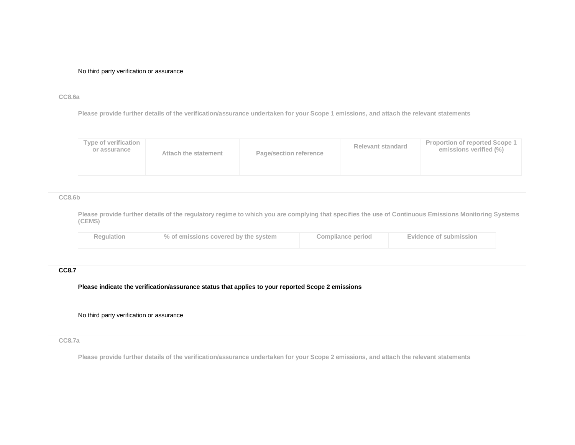No third party verification or assurance

### **CC8.6a**

**Please provide further details of the verification/assurance undertaken for your Scope 1 emissions, and attach the relevant statements**

| emissions verified (%)<br>or assurance<br>Page/section reference<br>Attach the statement | Type of verification |  | Relevant standard | Proportion of reported Scope 1 |
|------------------------------------------------------------------------------------------|----------------------|--|-------------------|--------------------------------|
|                                                                                          |                      |  |                   |                                |

### **CC8.6b**

**Please provide further details of the regulatory regime to which you are complying that specifies the use of Continuous Emissions Monitoring Systems (CEMS)**

| <b>Regulation</b> | % of emissions covered by the system | Compliance period | Evidence of submission |
|-------------------|--------------------------------------|-------------------|------------------------|
|                   |                                      |                   |                        |

# **CC8.7**

**Please indicate the verification/assurance status that applies to your reported Scope 2 emissions**

No third party verification or assurance

**CC8.7a**

**Please provide further details of the verification/assurance undertaken for your Scope 2 emissions, and attach the relevant statements**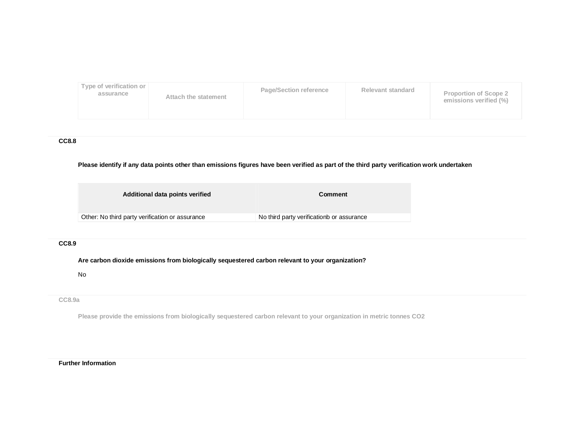

**CC8.8**

## **Please identify if any data points other than emissions figures have been verified as part of the third party verification work undertaken**

| Additional data points verified                 | Comment                                   |
|-------------------------------------------------|-------------------------------------------|
| Other: No third party verification or assurance | No third party verificationb or assurance |
|                                                 |                                           |

## **CC8.9**

## **Are carbon dioxide emissions from biologically sequestered carbon relevant to your organization?**

No

#### **CC8.9a**

**Please provide the emissions from biologically sequestered carbon relevant to your organization in metric tonnes CO2**

#### **Further Information**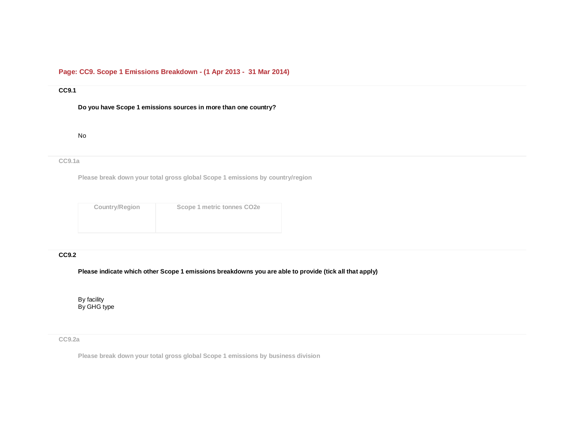# **Page: CC9. Scope 1 Emissions Breakdown - (1 Apr 2013 - 31 Mar 2014)**

# **CC9.1**

**Do you have Scope 1 emissions sources in more than one country?**

#### No

# **CC9.1a**

**Please break down your total gross global Scope 1 emissions by country/region**

| <b>Country/Region</b> | Scope 1 metric tonnes CO <sub>2e</sub> |
|-----------------------|----------------------------------------|
|                       |                                        |
|                       |                                        |

# **CC9.2**

**Please indicate which other Scope 1 emissions breakdowns you are able to provide (tick all that apply)**

By facility By GHG type

## **CC9.2a**

**Please break down your total gross global Scope 1 emissions by business division**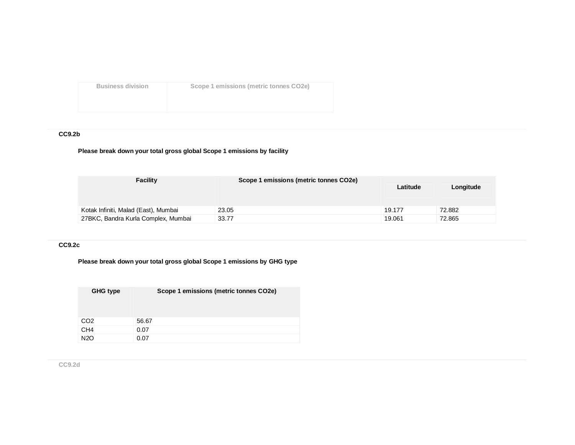**Business division Scope 1 emissions (metric tonnes CO2e)**

# **CC9.2b**

# **Please break down your total gross global Scope 1 emissions by facility**

| <b>Facility</b>                      | Scope 1 emissions (metric tonnes CO2e) | Latitude | Longitude |
|--------------------------------------|----------------------------------------|----------|-----------|
| Kotak Infiniti, Malad (East), Mumbai | 23.05                                  | 19.177   | 72.882    |
| 27BKC, Bandra Kurla Complex, Mumbai  | 33.77                                  | 19.061   | 72.865    |

# **CC9.2c**

# **Please break down your total gross global Scope 1 emissions by GHG type**

| GHG type         | Scope 1 emissions (metric tonnes CO2e) |
|------------------|----------------------------------------|
| CO <sub>2</sub>  | 56.67                                  |
| CH <sub>4</sub>  | 0.07                                   |
| N <sub>2</sub> O | 0.07                                   |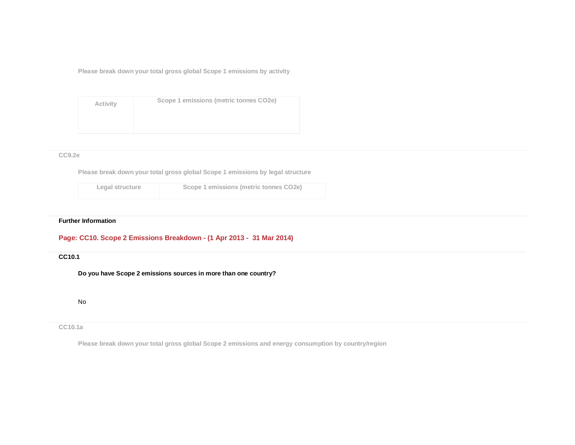**Please break down your total gross global Scope 1 emissions by activity**

| Activity | Scope 1 emissions (metric tonnes CO2e) |
|----------|----------------------------------------|
|          |                                        |

## **CC9.2e**

**Please break down your total gross global Scope 1 emissions by legal structure**

| Legal structure | Scope 1 emissions (metric tonnes CO2e) |
|-----------------|----------------------------------------|
|                 |                                        |

### **Further Information**

# **Page: CC10. Scope 2 Emissions Breakdown - (1 Apr 2013 - 31 Mar 2014)**

## **CC10.1**

**Do you have Scope 2 emissions sources in more than one country?**

No

## **CC10.1a**

**Please break down your total gross global Scope 2 emissions and energy consumption by country/region**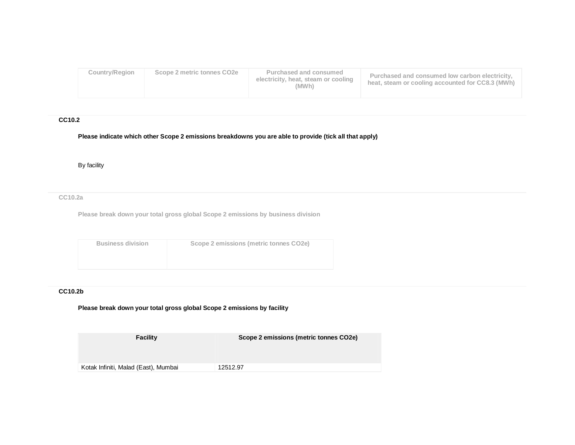| Country/Region | Scope 2 metric tonnes CO2e | Purchased and consumed<br>electricity, heat, steam or cooling<br>(MWh) | Purchased and consumed low carbon electricity,<br>heat, steam or cooling accounted for CC8.3 (MWh) |
|----------------|----------------------------|------------------------------------------------------------------------|----------------------------------------------------------------------------------------------------|
|                |                            |                                                                        |                                                                                                    |

## **CC10.2**

**Please indicate which other Scope 2 emissions breakdowns you are able to provide (tick all that apply)**

By facility

**CC10.2a**

**Please break down your total gross global Scope 2 emissions by business division**

| <b>Business division</b> | Scope 2 emissions (metric tonnes CO2e) |
|--------------------------|----------------------------------------|
|                          |                                        |

# **CC10.2b**

# **Please break down your total gross global Scope 2 emissions by facility**

| Facility                             | Scope 2 emissions (metric tonnes CO2e) |
|--------------------------------------|----------------------------------------|
|                                      |                                        |
| Kotak Infiniti, Malad (East), Mumbai | 12512.97                               |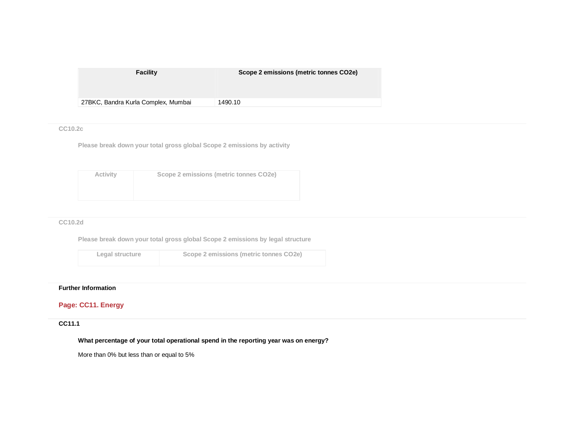| <b>Facility</b>                     | Scope 2 emissions (metric tonnes CO2e) |
|-------------------------------------|----------------------------------------|
| 27BKC, Bandra Kurla Complex, Mumbai | 1490.10                                |

## **CC10.2c**

**Please break down your total gross global Scope 2 emissions by activity**

| Activity | Scope 2 emissions (metric tonnes CO2e) |
|----------|----------------------------------------|
|          |                                        |
|          |                                        |

## **CC10.2d**

**Please break down your total gross global Scope 2 emissions by legal structure**

**Legal structure Scope 2 emissions (metric tonnes CO2e)**

# **Further Information**

# **Page: CC11. Energy**

# **CC11.1**

**What percentage of your total operational spend in the reporting year was on energy?**

More than 0% but less than or equal to 5%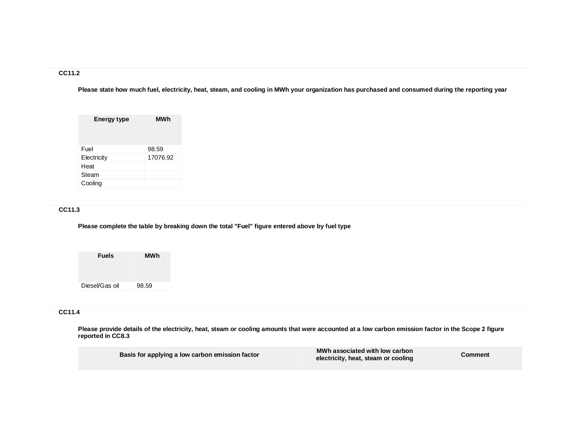# **CC11.2**

**Please state how much fuel, electricity, heat, steam, and cooling in MWh your organization has purchased and consumed during the reporting year**

| <b>Energy type</b> | MWh      |
|--------------------|----------|
| Fuel               | 98.59    |
| Electricity        | 17076.92 |
| Heat               |          |
| Steam              |          |
| Cooling            |          |

# **CC11.3**

**Please complete the table by breaking down the total "Fuel" figure entered above by fuel type**

| <b>Fuels</b>   | <b>MWh</b> |
|----------------|------------|
|                |            |
| Diesel/Gas oil | 98.59      |

# **CC11.4**

**Please provide details of the electricity, heat, steam or cooling amounts that were accounted at a low carbon emission factor in the Scope 2 figure reported in CC8.3**

| Basis for applying a low carbon emission factor | MWh associated with low carbon<br>electricity, heat, steam or cooling | <b>Comment</b> |
|-------------------------------------------------|-----------------------------------------------------------------------|----------------|
|                                                 |                                                                       |                |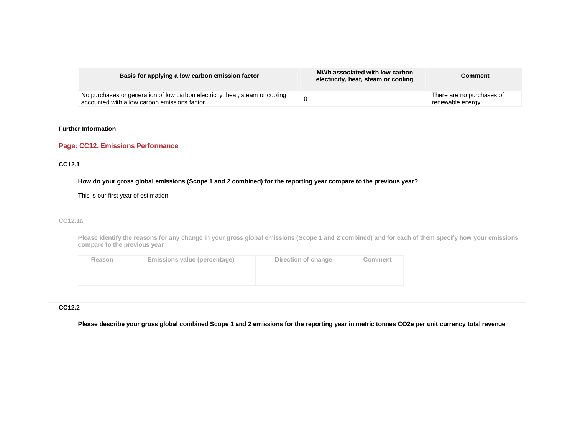| Basis for applying a low carbon emission factor                                                                              | MWh associated with low carbon<br>electricity, heat, steam or cooling | Comment                                       |
|------------------------------------------------------------------------------------------------------------------------------|-----------------------------------------------------------------------|-----------------------------------------------|
| No purchases or generation of low carbon electricity, heat, steam or cooling<br>accounted with a low carbon emissions factor |                                                                       | There are no purchases of<br>renewable energy |

## **Further Information**

## **Page: CC12. Emissions Performance**

## **CC12.1**

**How do your gross global emissions (Scope 1 and 2 combined) for the reporting year compare to the previous year?**

This is our first year of estimation

#### **CC12.1a**

**Please identify the reasons for any change in your gross global emissions (Scope 1 and 2 combined) and for each of them specify how your emissions compare to the previous year**

| Reason | Emissions value (percentage) | Direction of change | Comment |
|--------|------------------------------|---------------------|---------|
|        |                              |                     |         |

## **CC12.2**

**Please describe your gross global combined Scope 1 and 2 emissions for the reporting year in metric tonnes CO2e per unit currency total revenue**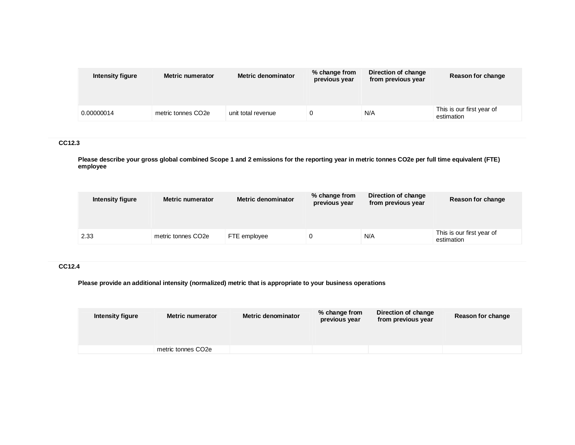| Intensity figure | <b>Metric numerator</b>        | Metric denominator | % change from<br>previous year | Direction of change<br>from previous year | Reason for change                       |
|------------------|--------------------------------|--------------------|--------------------------------|-------------------------------------------|-----------------------------------------|
|                  |                                |                    |                                |                                           |                                         |
| 0.00000014       | metric tonnes CO <sub>2e</sub> | unit total revenue |                                | N/A                                       | This is our first year of<br>estimation |

# **CC12.3**

**Please describe your gross global combined Scope 1 and 2 emissions for the reporting year in metric tonnes CO2e per full time equivalent (FTE) employee**

| Intensity figure | <b>Metric numerator</b> |              | % change from<br>previous year | Direction of change<br>from previous year | Reason for change                       |
|------------------|-------------------------|--------------|--------------------------------|-------------------------------------------|-----------------------------------------|
|                  |                         |              |                                |                                           |                                         |
| 2.33             | metric tonnes CO2e      | FTE employee |                                | N/A                                       | This is our first year of<br>estimation |

# **CC12.4**

**Please provide an additional intensity (normalized) metric that is appropriate to your business operations**

| Intensity figure | <b>Metric numerator</b> | <b>Metric denominator</b> | % change from<br>previous year | Direction of change<br>from previous year | Reason for change |
|------------------|-------------------------|---------------------------|--------------------------------|-------------------------------------------|-------------------|
|                  | metric tonnes CO2e      |                           |                                |                                           |                   |
|                  |                         |                           |                                |                                           |                   |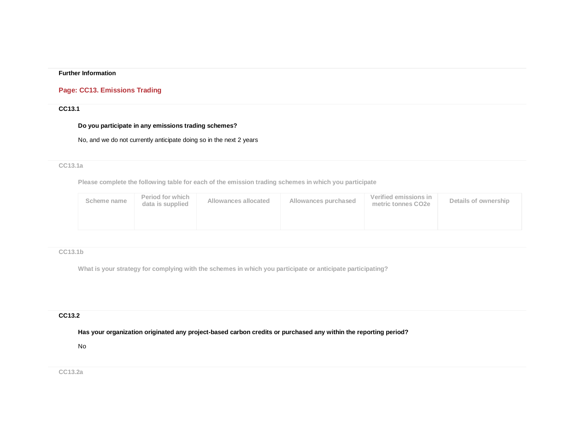## **Further Information**

# **Page: CC13. Emissions Trading**

## **CC13.1**

## **Do you participate in any emissions trading schemes?**

No, and we do not currently anticipate doing so in the next 2 years

## **CC13.1a**

**Please complete the following table for each of the emission trading schemes in which you participate**

| Scheme name | Period for which<br>data is supplied | Allowances allocated | Allowances purchased | Verified emissions in<br>metric tonnes CO2e | Details of ownership |
|-------------|--------------------------------------|----------------------|----------------------|---------------------------------------------|----------------------|
|             |                                      |                      |                      |                                             |                      |

## **CC13.1b**

**What is your strategy for complying with the schemes in which you participate or anticipate participating?**

## **CC13.2**

**Has your organization originated any project-based carbon credits or purchased any within the reporting period?**

## No

**CC13.2a**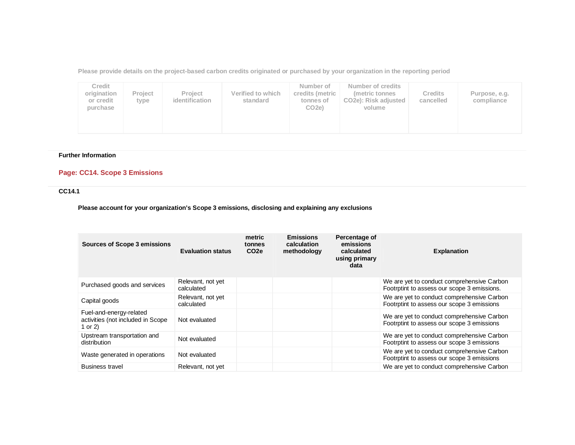**Please provide details on the project-based carbon credits originated or purchased by your organization in the reporting period**

| Credit<br>origination<br>or credit<br>purchase | Project<br>type | Project<br>identification | Verified to which<br>standard | Number of<br>credits (metric<br>tonnes of<br>CO <sub>2e</sub> ) | Number of credits<br>metric tonnes<br>CO <sub>2</sub> e): Risk adjusted<br>volume | <b>Credits</b><br>cancelled | Purpose, e.g.<br>compliance |  |
|------------------------------------------------|-----------------|---------------------------|-------------------------------|-----------------------------------------------------------------|-----------------------------------------------------------------------------------|-----------------------------|-----------------------------|--|
|------------------------------------------------|-----------------|---------------------------|-------------------------------|-----------------------------------------------------------------|-----------------------------------------------------------------------------------|-----------------------------|-----------------------------|--|

# **Further Information**

# **Page: CC14. Scope 3 Emissions**

# **CC14.1**

**Please account for your organization's Scope 3 emissions, disclosing and explaining any exclusions**

| Sources of Scope 3 emissions                                              | <b>Evaluation status</b>        | metric<br>tonnes<br>CO <sub>2e</sub> | <b>Emissions</b><br>calculation<br>methodology | Percentage of<br>emissions<br>calculated<br>using primary<br>data | <b>Explanation</b>                                                                        |
|---------------------------------------------------------------------------|---------------------------------|--------------------------------------|------------------------------------------------|-------------------------------------------------------------------|-------------------------------------------------------------------------------------------|
| Purchased goods and services                                              | Relevant, not yet<br>calculated |                                      |                                                |                                                                   | We are yet to conduct comprehensive Carbon<br>Footrptint to assess our scope 3 emissions. |
| Capital goods                                                             | Relevant, not yet<br>calculated |                                      |                                                |                                                                   | We are yet to conduct comprehensive Carbon<br>Footrptint to assess our scope 3 emissions  |
| Fuel-and-energy-related<br>activities (not included in Scope<br>1 or $2)$ | Not evaluated                   |                                      |                                                |                                                                   | We are yet to conduct comprehensive Carbon<br>Footrptint to assess our scope 3 emissions  |
| Upstream transportation and<br>distribution                               | Not evaluated                   |                                      |                                                |                                                                   | We are yet to conduct comprehensive Carbon<br>Footrptint to assess our scope 3 emissions  |
| Waste generated in operations                                             | Not evaluated                   |                                      |                                                |                                                                   | We are yet to conduct comprehensive Carbon<br>Footrptint to assess our scope 3 emissions  |
| <b>Business travel</b>                                                    | Relevant, not yet               |                                      |                                                |                                                                   | We are yet to conduct comprehensive Carbon                                                |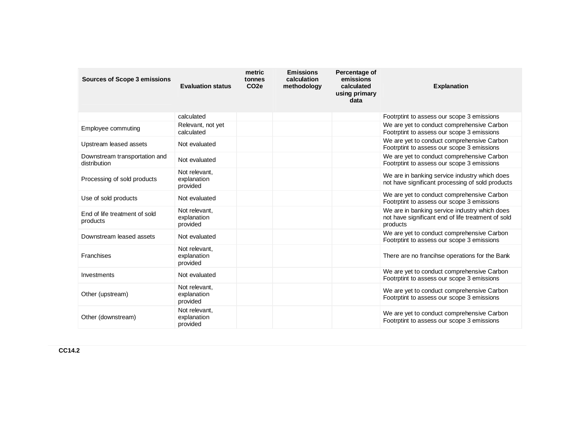| <b>Sources of Scope 3 emissions</b>           |                                          | metric<br>tonnes | <b>Emissions</b><br>calculation | Percentage of<br>emissions  |                                                                                                                 |
|-----------------------------------------------|------------------------------------------|------------------|---------------------------------|-----------------------------|-----------------------------------------------------------------------------------------------------------------|
|                                               | <b>Evaluation status</b>                 | CO <sub>2e</sub> | methodology                     | calculated<br>using primary | <b>Explanation</b>                                                                                              |
|                                               |                                          |                  |                                 | data                        |                                                                                                                 |
|                                               | calculated                               |                  |                                 |                             | Footrptint to assess our scope 3 emissions                                                                      |
| Employee commuting                            | Relevant, not yet<br>calculated          |                  |                                 |                             | We are yet to conduct comprehensive Carbon<br>Footrptint to assess our scope 3 emissions                        |
| Upstream leased assets                        | Not evaluated                            |                  |                                 |                             | We are yet to conduct comprehensive Carbon<br>Footrptint to assess our scope 3 emissions                        |
| Downstream transportation and<br>distribution | Not evaluated                            |                  |                                 |                             | We are yet to conduct comprehensive Carbon<br>Footrptint to assess our scope 3 emissions                        |
| Processing of sold products                   | Not relevant,<br>explanation<br>provided |                  |                                 |                             | We are in banking service industry which does<br>not have significant processing of sold products               |
| Use of sold products                          | Not evaluated                            |                  |                                 |                             | We are yet to conduct comprehensive Carbon<br>Footrptint to assess our scope 3 emissions                        |
| End of life treatment of sold<br>products     | Not relevant,<br>explanation<br>provided |                  |                                 |                             | We are in banking service industry which does<br>not have significant end of life treatment of sold<br>products |
| Downstream leased assets                      | Not evaluated                            |                  |                                 |                             | We are yet to conduct comprehensive Carbon<br>Footrptint to assess our scope 3 emissions                        |
| Franchises                                    | Not relevant,<br>explanation<br>provided |                  |                                 |                             | There are no francihse operations for the Bank                                                                  |
| Investments                                   | Not evaluated                            |                  |                                 |                             | We are yet to conduct comprehensive Carbon<br>Footrptint to assess our scope 3 emissions                        |
| Other (upstream)                              | Not relevant.<br>explanation<br>provided |                  |                                 |                             | We are yet to conduct comprehensive Carbon<br>Footrptint to assess our scope 3 emissions                        |
| Other (downstream)                            | Not relevant.<br>explanation<br>provided |                  |                                 |                             | We are yet to conduct comprehensive Carbon<br>Footrptint to assess our scope 3 emissions                        |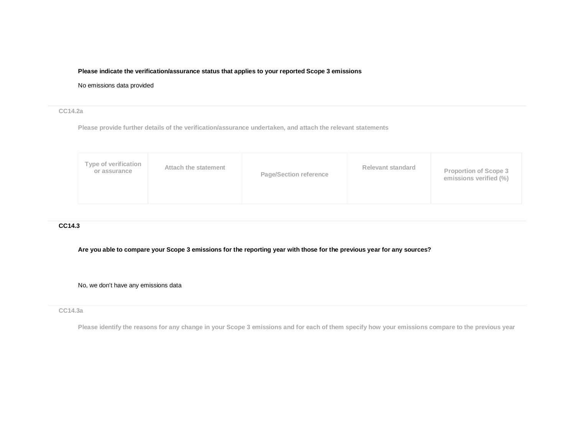## **Please indicate the verification/assurance status that applies to your reported Scope 3 emissions**

## No emissions data provided

## **CC14.2a**

**Please provide further details of the verification/assurance undertaken, and attach the relevant statements**

|--|

## **CC14.3**

**Are you able to compare your Scope 3 emissions for the reporting year with those for the previous year for any sources?**

No, we don't have any emissions data

### **CC14.3a**

**Please identify the reasons for any change in your Scope 3 emissions and for each of them specify how your emissions compare to the previous year**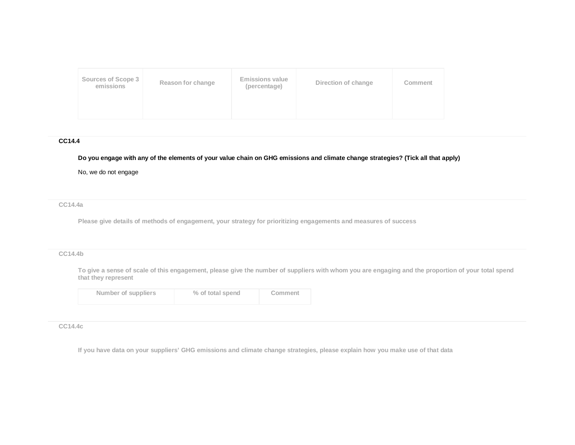| Sources of Scope 3<br>emissions | Reason for change | <b>Emissions value</b><br>(percentage) | Direction of change | Comment |
|---------------------------------|-------------------|----------------------------------------|---------------------|---------|
|                                 |                   |                                        |                     |         |

## **CC14.4**

# **Do you engage with any of the elements of your value chain on GHG emissions and climate change strategies? (Tick all that apply)**

No, we do not engage

**CC14.4a**

**Please give details of methods of engagement, your strategy for prioritizing engagements and measures of success**

# **CC14.4b**

**To give a sense of scale of this engagement, please give the number of suppliers with whom you are engaging and the proportion of your total spend that they represent**

| Number of suppliers | % of total spend | Comment |
|---------------------|------------------|---------|
|                     |                  |         |

### **CC14.4c**

**If you have data on your suppliers' GHG emissions and climate change strategies, please explain how you make use of that data**